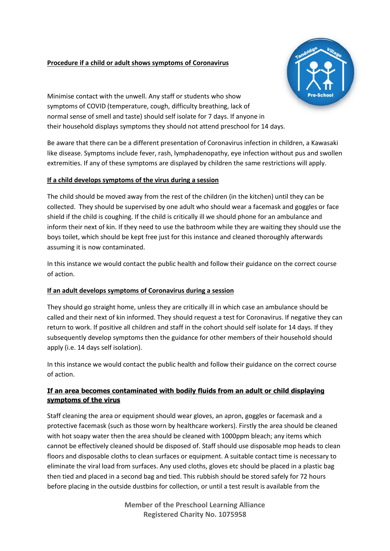## **Procedure if a child or adult shows symptoms of Coronavirus**



Minimise contact with the unwell. Any staff or students who show symptoms of COVID (temperature, cough, difficulty breathing, lack of normal sense of smell and taste) should self isolate for 7 days. If anyone in their household displays symptoms they should not attend preschool for 14 days.

Be aware that there can be a different presentation of Coronavirus infection in children, a Kawasaki like disease. Symptoms include fever, rash, lymphadenopathy, eye infection without pus and swollen extremities. If any of these symptoms are displayed by children the same restrictions will apply.

## **If a child develops symptoms of the virus during a session**

The child should be moved away from the rest of the children (in the kitchen) until they can be collected. They should be supervised by one adult who should wear a facemask and goggles or face shield if the child is coughing. If the child is critically ill we should phone for an ambulance and inform their next of kin. If they need to use the bathroom while they are waiting they should use the boys toilet, which should be kept free just for this instance and cleaned thoroughly afterwards assuming it is now contaminated.

In this instance we would contact the public health and follow their guidance on the correct course of action.

## **If an adult develops symptoms of Coronavirus during a session**

They should go straight home, unless they are critically ill in which case an ambulance should be called and their next of kin informed. They should request a test for Coronavirus. If negative they can return to work. If positive all children and staff in the cohort should self isolate for 14 days. If they subsequently develop symptoms then the guidance for other members of their household should apply (i.e. 14 days self isolation).

In this instance we would contact the public health and follow their guidance on the correct course of action.

## **If an area becomes contaminated with bodily fluids from an adult or child displaying symptoms of the virus**

Staff cleaning the area or equipment should wear gloves, an apron, goggles or facemask and a protective facemask (such as those worn by healthcare workers). Firstly the area should be cleaned with hot soapy water then the area should be cleaned with 1000ppm bleach; any items which cannot be effectively cleaned should be disposed of. Staff should use disposable mop heads to clean floors and disposable cloths to clean surfaces or equipment. A suitable contact time is necessary to eliminate the viral load from surfaces. Any used cloths, gloves etc should be placed in a plastic bag then tied and placed in a second bag and tied. This rubbish should be stored safely for 72 hours before placing in the outside dustbins for collection, or until a test result is available from the

> **Member of the Preschool Learning Alliance Registered Charity No. 1075958**